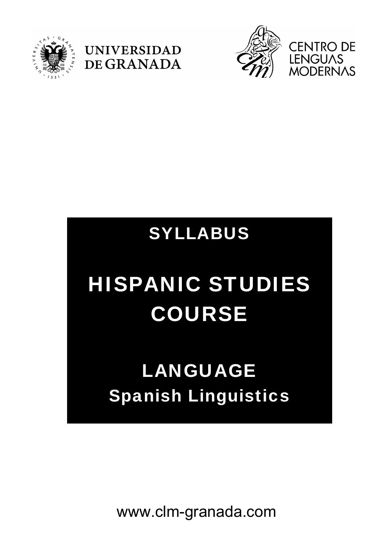





### SYLLABUS

# HISPANIC STUDIES COURSE

## LANGUAGE Spanish Linguistics

www.clm-granada.com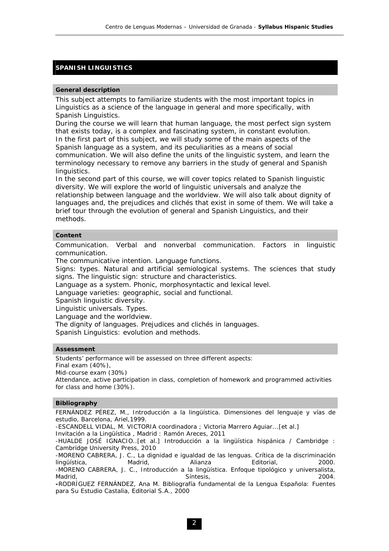#### **SPANISH LINGUISTICS**

#### **General description**

This subject attempts to familiarize students with the most important topics in Linguistics as a science of the language in general and more specifically, with Spanish Linguistics.

During the course we will learn that human language, the most perfect sign system that exists today, is a complex and fascinating system, in constant evolution. In the first part of this subject, we will study some of the main aspects of the Spanish language as a system, and its peculiarities as a means of social communication. We will also define the units of the linguistic system, and learn the terminology necessary to remove any barriers in the study of general and Spanish linguistics.

In the second part of this course, we will cover topics related to Spanish linguistic diversity. We will explore the world of linguistic universals and analyze the relationship between language and the worldview. We will also talk about dignity of languages and, the prejudices and clichés that exist in some of them. We will take a brief tour through the evolution of general and Spanish Linguistics, and their methods.

#### **Content**

Communication. Verbal and nonverbal communication. Factors in linguistic communication.

The communicative intention. Language functions.

Signs: types. Natural and artificial semiological systems. The sciences that study signs. The linguistic sign: structure and characteristics.

Language as a system. Phonic, morphosyntactic and lexical level.

Language varieties: geographic, social and functional.

Spanish linguistic diversity.

Linguistic universals. Types.

Language and the worldview.

The dignity of languages. Prejudices and clichés in languages.

Spanish Linguistics: evolution and methods.

#### **Assessment**

Students' performance will be assessed on three different aspects: Final exam (40%), Mid-course exam (30%) Attendance, active participation in class, completion of homework and programmed activities

#### **Bibliography**

for class and home (30%).

FERNÁNDEZ PÉREZ, M., *Introducción a la lingüística. Dimensiones del lenguaje y vías de estudio*, Barcelona, Ariel,1999.

-ESCANDELL VIDAL, M. VICTORIA coordinadora ; Victoria Marrero Aguiar...[et al.]

*Invitación a la Lingüística* , Madrid : Ramón Areces, 2011

-HUALDE JOSÉ IGNACIO..[et al.] Introducción a la lingüística hispánica / Cambridge : Cambridge University Press, 2010

-MORENO CABRERA, J. C., La dignidad e igualdad de las lenguas. Crítica de la discriminación lingüística, Madrid, Alianza Editorial, 2000. -MORENO CABRERA, J. C., *Introducción a la lingüística. Enfoque tipológico y universalista*, Madrid, 2004. Nota a constant of the Síntesis, the Síntesis, the constant of the constant of the constant of the constant of the constant of the constant of the constant of the constant of the constant of the constant of t

**-**RODRÍGUEZ FERNÁNDEZ, Ana M. *Bibliografía fundamental de la Lengua Española: Fuentes para Su Estudio* Castalia, Editorial S.A., 2000